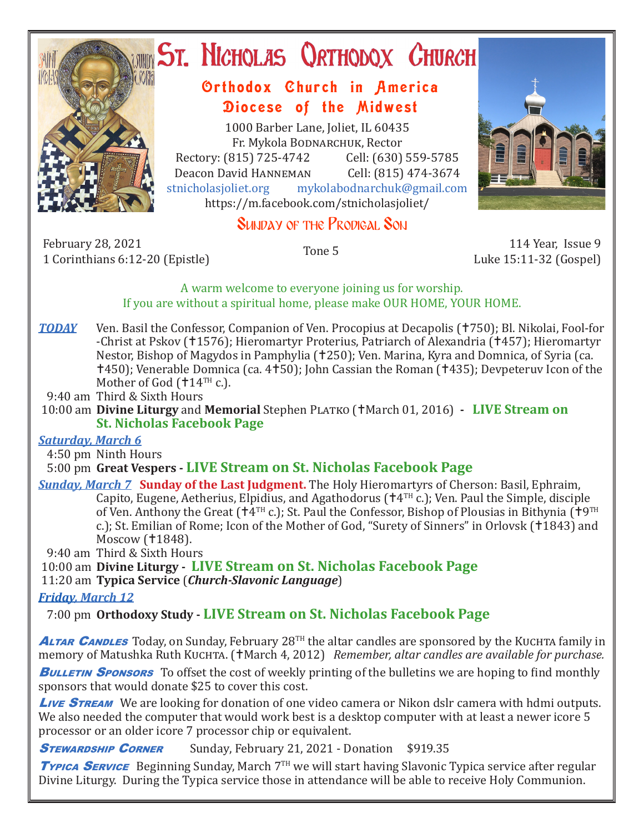

# **ST. NICHOLAS QRTHODOX CHURCH**

# Orthodox Church in America Diocese of the Midwest

1000 Barber Lane, Joliet, IL 60435 Fr. Mykola Bodnarchuk, Rector Rectory: (815) 725-4742 Cell: (630) 559-5785<br>Deacon David HANNEMAN Cell: (815) 474-3674 Deacon David HANNEMAN<br>stnicholasioliet.org mvk mykolabodnarchuk@gmail.com https://m.facebook.com/stnicholasjoliet/

# SUNDAY OF THE PRODIGAL SON

February 28, 2021 114 Year, Issue 9 114 Year, Issue 9 114 Year, Issue 9 114 Year, Issue 9 114 Year, Issue 9 114 Year, Issue 9 114 Year, Issue 9 114 Year, Issue 9 114 Year, Issue 9 114 Year, Issue 9 11 Corinthians 6:12-20 (Epistle)

Luke 15:11-32 (Gospel)

### A warm welcome to everyone joining us for worship. If you are without a spiritual home, please make OUR HOME, YOUR HOME.

*TODAY* Ven. Basil the Confessor, Companion of Ven. Procopius at Decapolis (†750); Bl. Nikolai, Fool-for -Christ at Pskov (†1576); Hieromartyr Proterius, Patriarch of Alexandria (†457); Hieromartyr Nestor, Bishop of Magydos in Pamphylia (†250); Ven. Marina, Kyra and Domnica, of Syria (ca. 450); Venerable Domnica (ca. 450); John Cassian the Roman (435); Devpeteruv Icon of the Mother of God ( $14<sup>TH</sup>$  c.).

9:40 am Third & Sixth Hours

 10:00 am **Divine Liturgy** and **Memorial** Stephen Platko (March 01, 2016) **- LIVE Stream on St. Nicholas Facebook Page**

## *Saturday, March 6*

4:50 pm Ninth Hours

## 5:00 pm **Great Vespers - LIVE Stream on St. Nicholas Facebook Page**

*Sunday, March 7* **Sunday of the Last Judgment.** The Holy Hieromartyrs of Cherson: Basil, Ephraim, Capito, Eugene, Aetherius, Elpidius, and Agathodorus ( $\uparrow$ 4<sup>TH</sup> c.); Ven. Paul the Simple, disciple of Ven. Anthony the Great ( $\dot{A}^{TH}$  c.); St. Paul the Confessor, Bishop of Plousias in Bithynia ( $\dot{A}^{QTH}$ c.); St. Emilian of Rome; Icon of the Mother of God, "Surety of Sinners" in Orlovsk (†1843) and Moscow (†1848).

9:40 am Third & Sixth Hours

 10:00 am **Divine Liturgy - LIVE Stream on St. Nicholas Facebook Page** 11:20 am **Typica Service** (*Church-Slavonic Language*)

## *Friday, March 12*

7:00 pm **Orthodoxy Study - LIVE Stream on St. Nicholas Facebook Page**

**ALTAR CANDLES** Today, on Sunday, February 28<sup>TH</sup> the altar candles are sponsored by the KUCHTA family in memory of Matushka Ruth Kuchta. (†March 4, 2012) *Remember, altar candles are available for purchase.* 

**BULLETIN SPONSORS** To offset the cost of weekly printing of the bulletins we are hoping to find monthly sponsors that would donate \$25 to cover this cost.

**Live STREAM** We are looking for donation of one video camera or Nikon dslr camera with hdmi outputs. We also needed the computer that would work best is a desktop computer with at least a newer icore 5 processor or an older icore 7 processor chip or equivalent.

**STEWARDSHIP CORNER** Sunday, February 21, 2021 - Donation \$919.35

**Typica SERVICE** Beginning Sunday, March 7<sup>TH</sup> we will start having Slavonic Typica service after regular Divine Liturgy. During the Typica service those in attendance will be able to receive Holy Communion.